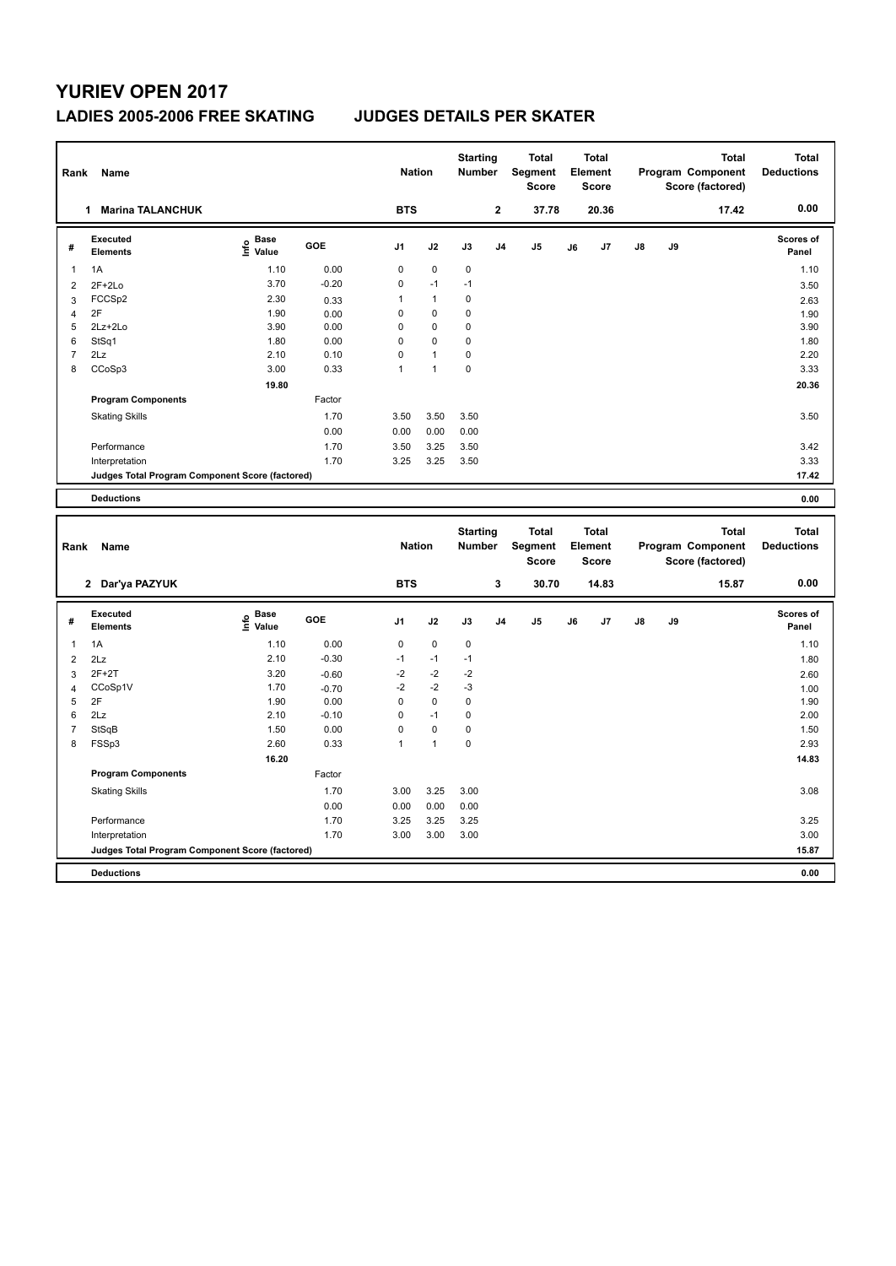## **YURIEV OPEN 2017 LADIES 2005-2006 FREE SKATING JUDGES DETAILS PER SKATER**

| Rank | Name                                            |                                  |         |                | <b>Starting</b><br><b>Nation</b><br><b>Number</b> |                 |                | <b>Total</b><br>Segment<br><b>Score</b> | <b>Total</b><br>Element<br><b>Score</b> |                         | <b>Total</b><br>Program Component<br>Score (factored) |    |                                          | <b>Total</b><br><b>Deductions</b> |
|------|-------------------------------------------------|----------------------------------|---------|----------------|---------------------------------------------------|-----------------|----------------|-----------------------------------------|-----------------------------------------|-------------------------|-------------------------------------------------------|----|------------------------------------------|-----------------------------------|
|      | <b>Marina TALANCHUK</b>                         |                                  |         | <b>BTS</b>     |                                                   |                 | $\overline{2}$ | 37.78                                   |                                         | 20.36                   |                                                       |    | 17.42                                    | 0.00                              |
| #    | Executed<br><b>Elements</b>                     | <b>Base</b><br>e Base<br>⊆ Value | GOE     | J <sub>1</sub> | J2                                                | J3              | J <sub>4</sub> | J <sub>5</sub>                          | J6                                      | J7                      | $\mathsf{J}8$                                         | J9 |                                          | Scores of<br>Panel                |
| 1    | 1A                                              | 1.10                             | 0.00    | 0              | $\mathbf 0$                                       | $\mathbf 0$     |                |                                         |                                         |                         |                                                       |    |                                          | 1.10                              |
| 2    | $2F+2Lo$                                        | 3.70                             | $-0.20$ | 0              | $-1$                                              | $-1$            |                |                                         |                                         |                         |                                                       |    |                                          | 3.50                              |
| 3    | FCCS <sub>p2</sub>                              | 2.30                             | 0.33    | 1              | $\mathbf{1}$                                      | 0               |                |                                         |                                         |                         |                                                       |    |                                          | 2.63                              |
| 4    | 2F                                              | 1.90                             | 0.00    | 0              | 0                                                 | 0               |                |                                         |                                         |                         |                                                       |    |                                          | 1.90                              |
| 5    | $2Lz+2Lo$                                       | 3.90                             | 0.00    | 0              | $\mathbf 0$                                       | 0               |                |                                         |                                         |                         |                                                       |    |                                          | 3.90                              |
| 6    | StSq1                                           | 1.80                             | 0.00    | $\Omega$       | $\Omega$                                          | 0               |                |                                         |                                         |                         |                                                       |    |                                          | 1.80                              |
| 7    | 2Lz                                             | 2.10                             | 0.10    | $\Omega$       | $\overline{1}$                                    | 0               |                |                                         |                                         |                         |                                                       |    |                                          | 2.20                              |
| 8    | CCoSp3                                          | 3.00                             | 0.33    | 1              | $\mathbf{1}$                                      | 0               |                |                                         |                                         |                         |                                                       |    |                                          | 3.33                              |
|      |                                                 | 19.80                            |         |                |                                                   |                 |                |                                         |                                         |                         |                                                       |    |                                          | 20.36                             |
|      | <b>Program Components</b>                       |                                  | Factor  |                |                                                   |                 |                |                                         |                                         |                         |                                                       |    |                                          |                                   |
|      | <b>Skating Skills</b>                           |                                  | 1.70    | 3.50           | 3.50                                              | 3.50            |                |                                         |                                         |                         |                                                       |    |                                          | 3.50                              |
|      |                                                 |                                  | 0.00    | 0.00           | 0.00                                              | 0.00            |                |                                         |                                         |                         |                                                       |    |                                          |                                   |
|      | Performance                                     |                                  | 1.70    | 3.50           | 3.25                                              | 3.50            |                |                                         |                                         |                         |                                                       |    |                                          | 3.42                              |
|      | Interpretation                                  |                                  | 1.70    | 3.25           | 3.25                                              | 3.50            |                |                                         |                                         |                         |                                                       |    |                                          | 3.33                              |
|      | Judges Total Program Component Score (factored) |                                  |         |                |                                                   |                 |                |                                         |                                         |                         |                                                       |    |                                          | 17.42                             |
|      | <b>Deductions</b>                               |                                  |         |                |                                                   |                 |                |                                         |                                         |                         |                                                       |    |                                          | 0.00                              |
|      | Dank Name                                       |                                  |         | Nation         |                                                   | <b>Starting</b> |                | <b>Total</b><br>Number Compant          |                                         | <b>Total</b><br>Element |                                                       |    | <b>Total</b><br><b>Drogram Component</b> | <b>Total</b><br><b>Doductions</b> |

|                                                 | Name<br>Rank                |                           |         |                | <b>Nation</b> |           | Number         | Segment<br>Score |    | Element<br><b>Score</b> |               |    | Program Component<br>Score (factored) | <b>Deductions</b>         |
|-------------------------------------------------|-----------------------------|---------------------------|---------|----------------|---------------|-----------|----------------|------------------|----|-------------------------|---------------|----|---------------------------------------|---------------------------|
|                                                 | 2 Dar'ya PAZYUK             |                           |         | <b>BTS</b>     |               |           | 3              | 30.70            |    | 14.83                   |               |    | 15.87                                 | 0.00                      |
| #                                               | Executed<br><b>Elements</b> | Base<br>e Base<br>⊆ Value | GOE     | J <sub>1</sub> | J2            | J3        | J <sub>4</sub> | J5               | J6 | J7                      | $\mathsf{J}8$ | J9 |                                       | <b>Scores of</b><br>Panel |
| $\overline{1}$                                  | 1A                          | 1.10                      | 0.00    | 0              | $\mathbf 0$   | $\pmb{0}$ |                |                  |    |                         |               |    |                                       | 1.10                      |
| $\overline{2}$                                  | 2Lz                         | 2.10                      | $-0.30$ | $-1$           | $-1$          | $-1$      |                |                  |    |                         |               |    |                                       | 1.80                      |
| 3                                               | $2F+2T$                     | 3.20                      | $-0.60$ | $-2$           | $-2$          | -2        |                |                  |    |                         |               |    |                                       | 2.60                      |
| 4                                               | CCoSp1V                     | 1.70                      | $-0.70$ | $-2$           | $-2$          | $-3$      |                |                  |    |                         |               |    |                                       | 1.00                      |
| 5                                               | 2F                          | 1.90                      | 0.00    | 0              | $\mathsf 0$   | 0         |                |                  |    |                         |               |    |                                       | 1.90                      |
| 6                                               | 2Lz                         | 2.10                      | $-0.10$ | 0              | $-1$          | 0         |                |                  |    |                         |               |    |                                       | 2.00                      |
| $\overline{7}$                                  | StSqB                       | 1.50                      | 0.00    | 0              | $\mathbf 0$   | 0         |                |                  |    |                         |               |    |                                       | 1.50                      |
| 8                                               | FSSp3                       | 2.60                      | 0.33    | 1              | $\mathbf{1}$  | 0         |                |                  |    |                         |               |    |                                       | 2.93                      |
|                                                 |                             | 16.20                     |         |                |               |           |                |                  |    |                         |               |    |                                       | 14.83                     |
|                                                 | <b>Program Components</b>   |                           | Factor  |                |               |           |                |                  |    |                         |               |    |                                       |                           |
|                                                 | <b>Skating Skills</b>       |                           | 1.70    | 3.00           | 3.25          | 3.00      |                |                  |    |                         |               |    |                                       | 3.08                      |
|                                                 |                             |                           | 0.00    | 0.00           | 0.00          | 0.00      |                |                  |    |                         |               |    |                                       |                           |
|                                                 | Performance                 |                           | 1.70    | 3.25           | 3.25          | 3.25      |                |                  |    |                         |               |    |                                       | 3.25                      |
|                                                 | Interpretation              |                           | 1.70    | 3.00           | 3.00          | 3.00      |                |                  |    |                         |               |    |                                       | 3.00                      |
| Judges Total Program Component Score (factored) |                             |                           |         |                |               |           |                |                  |    |                         |               |    |                                       | 15.87                     |
|                                                 | <b>Deductions</b>           |                           |         |                |               |           |                |                  |    |                         |               |    |                                       | 0.00                      |